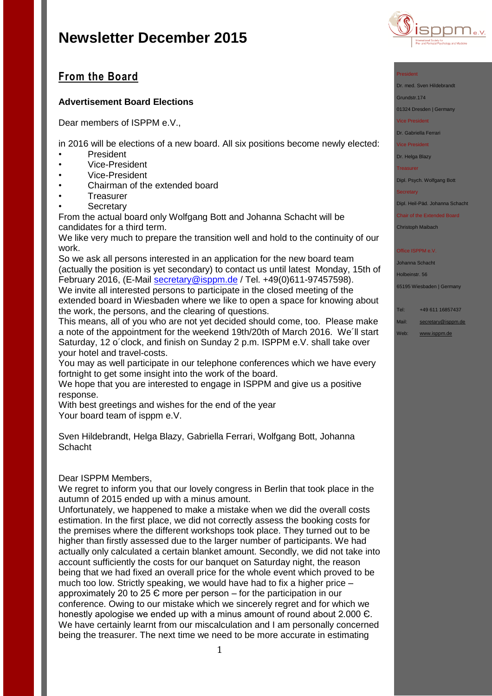

## **From the Board**

### **Advertisement Board Elections**

Dear members of ISPPM e.V.,

in 2016 will be elections of a new board. All six positions become newly elected:

- President
- Vice-President
- Vice-President
- Chairman of the extended board
- **Treasurer**
- **Secretary**

From the actual board only Wolfgang Bott and Johanna Schacht will be candidates for a third term.

We like very much to prepare the transition well and hold to the continuity of our work.

So we ask all persons interested in an application for the new board team (actually the position is yet secondary) to contact us until latest Monday, 15th of February 2016, (E-Mail [secretary@isppm.de](mailto:secretary@isppm.de) / Tel. +49(0)611-97457598). We invite all interested persons to participate in the closed meeting of the extended board in Wiesbaden where we like to open a space for knowing about

the work, the persons, and the clearing of questions.

This means, all of you who are not yet decided should come, too. Please make a note of the appointment for the weekend 19th/20th of March 2016. We´ll start Saturday, 12 o´clock, and finish on Sunday 2 p.m. ISPPM e.V. shall take over your hotel and travel-costs.

You may as well participate in our telephone conferences which we have every fortnight to get some insight into the work of the board.

We hope that you are interested to engage in ISPPM and give us a positive response.

With best greetings and wishes for the end of the year Your board team of isppm e.V.

Sven Hildebrandt, Helga Blazy, Gabriella Ferrari, Wolfgang Bott, Johanna **Schacht** 

### Dear ISPPM Members,

We regret to inform you that our lovely congress in Berlin that took place in the autumn of 2015 ended up with a minus amount.

Unfortunately, we happened to make a mistake when we did the overall costs estimation. In the first place, we did not correctly assess the booking costs for the premises where the different workshops took place. They turned out to be higher than firstly assessed due to the larger number of participants. We had actually only calculated a certain blanket amount. Secondly, we did not take into account sufficiently the costs for our banquet on Saturday night, the reason being that we had fixed an overall price for the whole event which proved to be much too low. Strictly speaking, we would have had to fix a higher price – approximately 20 to 25 Є more per person – for the participation in our conference. Owing to our mistake which we sincerely regret and for which we honestly apologise we ended up with a minus amount of round about 2.000 Є. We have certainly learnt from our miscalculation and I am personally concerned being the treasurer. The next time we need to be more accurate in estimating

#### President

Dr. med. Sven Hildebrandt

Grundstr.174

01324 Dresden | Germany

Vice President

Dr. Gabriella Ferrari

Vice President

Dr. Helga Blazy

Treasurer

Dipl. Psych. Wolfgang Bott

**Secretary** 

Dipl. Heil-Päd. Johanna Schacht

Chair of the Extended Board Christoph Maibach

Office ISPPM e.V

Johanna Schacht Holbeinstr. 56

65195 Wiesbaden | Germany

Tel: +49 611 16857437

Mail: [secretary@isppm.de](mailto:secretary@isppm.de)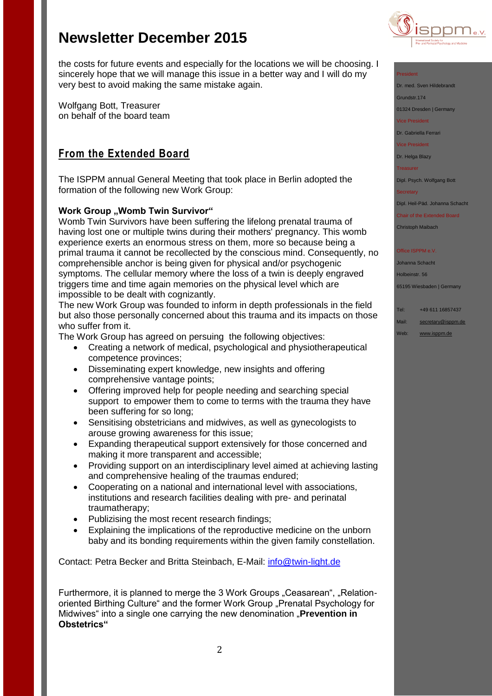

the costs for future events and especially for the locations we will be choosing. I sincerely hope that we will manage this issue in a better way and I will do my very best to avoid making the same mistake again.

Wolfgang Bott, Treasurer on behalf of the board team

# **From the Extended Board**

The ISPPM annual General Meeting that took place in Berlin adopted the formation of the following new Work Group:

## **Work Group "Womb Twin Survivor"**

Womb Twin Survivors have been suffering the lifelong prenatal trauma of having lost one or multiple twins during their mothers' pregnancy. This womb experience exerts an enormous stress on them, more so because being a primal trauma it cannot be recollected by the conscious mind. Consequently, no comprehensible anchor is being given for physical and/or psychogenic symptoms. The cellular memory where the loss of a twin is deeply engraved triggers time and time again memories on the physical level which are impossible to be dealt with cognizantly.

The new Work Group was founded to inform in depth professionals in the field but also those personally concerned about this trauma and its impacts on those who suffer from it.

The Work Group has agreed on persuing the following objectives:

- Creating a network of medical, psychological and physiotherapeutical competence provinces;
- Disseminating expert knowledge, new insights and offering comprehensive vantage points;
- Offering improved help for people needing and searching special support to empower them to come to terms with the trauma they have been suffering for so long;
- Sensitising obstetricians and midwives, as well as gynecologists to arouse growing awareness for this issue;
- Expanding therapeutical support extensively for those concerned and making it more transparent and accessible;
- Providing support on an interdisciplinary level aimed at achieving lasting and comprehensive healing of the traumas endured;
- Cooperating on a national and international level with associations, institutions and research facilities dealing with pre- and perinatal traumatherapy;
- Publizising the most recent research findings;
- Explaining the implications of the reproductive medicine on the unborn baby and its bonding requirements within the given family constellation.

Contact: Petra Becker and Britta Steinbach, E-Mail: [info@twin-light.de](mailto:info@twin-light.de)

Furthermore, it is planned to merge the 3 Work Groups "Ceasarean", "Relationoriented Birthing Culture" and the former Work Group "Prenatal Psychology for Midwives<sup>"</sup> into a single one carrying the new denomination "Prevention in **Obstetrics"**

### President

Dr. med. Sven Hildebrandt

Grundstr.174

01324 Dresden | Germany

Vice President

Dr. Gabriella Ferrari

Vice President

Dr. Helga Blazy

Treasurer

Dipl. Psych. Wolfgang Bott

**Secretary** 

Dipl. Heil-Päd. Johanna Schacht

Chair of the Extended Board Christoph Maibach

Office ISPPM e.V

Johanna Schacht Holbeinstr. 56

65195 Wiesbaden | Germany

Tel: +49 611 16857437

Mail: [secretary@isppm.de](mailto:secretary@isppm.de)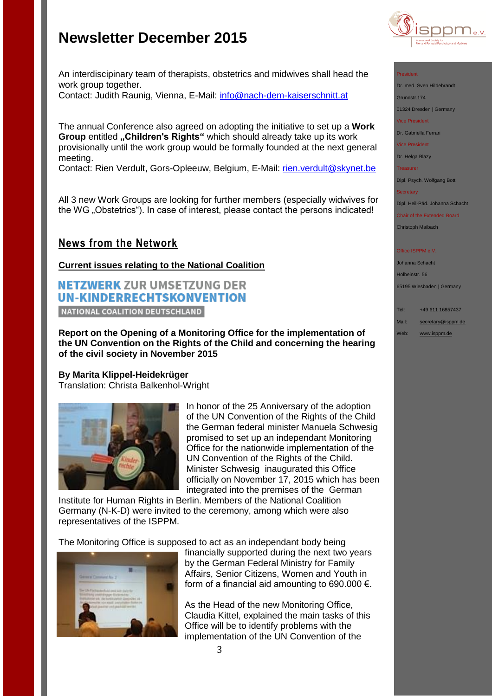

#### President

Dr. med. Sven Hildebrandt

Grundstr.174

01324 Dresden | Germany

Vice President

Dr. Gabriella Ferrari

Vice President

Dr. Helga Blazy

**Treasurer** 

Dipl. Psych. Wolfgang Bott

**Secretary** 

Dipl. Heil-Päd. Johanna Schacht

Chair of the Extended Board Christoph Maibach

#### **Office ISPPM e.V**

Johanna Schacht Holbeinstr. 56

65195 Wiesbaden | Germany

Tel: +49 611 16857437

Mail: [secretary@isppm.de](mailto:secretary@isppm.de)

Web: [www.isppm.de](http://www.isppm.de/)

An interdiscipinary team of therapists, obstetrics and midwives shall head the work group together. Contact: Judith Raunig, Vienna, E-Mail: [info@nach-dem-kaiserschnitt.at](mailto:info@nach-dem-kaiserschnitt.at)

The annual Conference also agreed on adopting the initiative to set up a **Work Group entitled "Children's Rights"** which should already take up its work provisionally until the work group would be formally founded at the next general meeting.

Contact: Rien Verdult, Gors-Opleeuw, Belgium, E-Mail: [rien.verdult@skynet.be](mailto:rien.verdult@skynet.be)

All 3 new Work Groups are looking for further members (especially widwives for the WG "Obstetrics"). In case of interest, please contact the persons indicated!

## **News from the Network**

**Current issues relating to the National Coalition**

# **NETZWERK ZUR UMSETZUNG DER UN-KINDERRECHTSKONVENTION**

NATIONAL COALITION DEUTSCHLAND

**Report on the Opening of a Monitoring Office for the implementation of the UN Convention on the Rights of the Child and concerning the hearing of the civil society in November 2015**

### **By Marita Klippel-Heidekrüger**

Translation: Christa Balkenhol-Wright



In honor of the 25 Anniversary of the adoption of the UN Convention of the Rights of the Child the German federal minister Manuela Schwesig promised to set up an independant Monitoring Office for the nationwide implementation of the UN Convention of the Rights of the Child. Minister Schwesig inaugurated this Office officially on November 17, 2015 which has been integrated into the premises of the German

Institute for Human Rights in Berlin. Members of the National Coalition Germany (N-K-D) were invited to the ceremony, among which were also representatives of the ISPPM.

The Monitoring Office is supposed to act as an independant body being



financially supported during the next two years by the German Federal Ministry for Family Affairs, Senior Citizens, Women and Youth in form of a financial aid amounting to 690.000  $\epsilon$ .

As the Head of the new Monitoring Office, Claudia Kittel, explained the main tasks of this Office will be to identify problems with the implementation of the UN Convention of the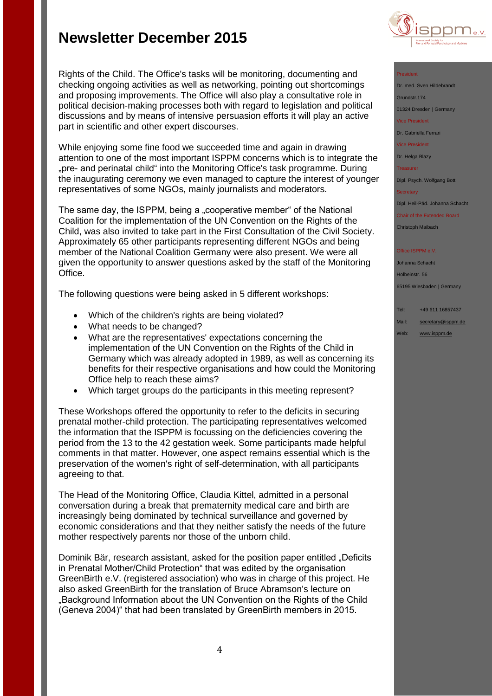

#### President

Dr. med. Sven Hildebrandt Grundstr.174

01324 Dresden | Germany Vice President

Dr. Gabriella Ferrari

Vice President

Dr. Helga Blazy

Treasurer

Dipl. Psych. Wolfgang Bott

**Secretary** 

Dipl. Heil-Päd. Johanna Schacht

Chair of the Extended Board Christoph Maibach

**Office ISPPM e.V** 

Johanna Schacht Holbeinstr. 56 65195 Wiesbaden | Germany

Tel: +49 611 16857437

Mail: [secretary@isppm.de](mailto:secretary@isppm.de)

Web: [www.isppm.de](http://www.isppm.de/)

Rights of the Child. The Office's tasks will be monitoring, documenting and checking ongoing activities as well as networking, pointing out shortcomings and proposing improvements. The Office will also play a consultative role in political decision-making processes both with regard to legislation and political discussions and by means of intensive persuasion efforts it will play an active part in scientific and other expert discourses.

While enjoying some fine food we succeeded time and again in drawing attention to one of the most important ISPPM concerns which is to integrate the "pre- and perinatal child" into the Monitoring Office's task programme. During the inaugurating ceremony we even managed to capture the interest of younger representatives of some NGOs, mainly journalists and moderators.

The same day, the ISPPM, being a "cooperative member" of the National Coalition for the implementation of the UN Convention on the Rights of the Child, was also invited to take part in the First Consultation of the Civil Society. Approximately 65 other participants representing different NGOs and being member of the National Coalition Germany were also present. We were all given the opportunity to answer questions asked by the staff of the Monitoring Office.

The following questions were being asked in 5 different workshops:

- Which of the children's rights are being violated?
- What needs to be changed?
- What are the representatives' expectations concerning the implementation of the UN Convention on the Rights of the Child in Germany which was already adopted in 1989, as well as concerning its benefits for their respective organisations and how could the Monitoring Office help to reach these aims?
- Which target groups do the participants in this meeting represent?

These Workshops offered the opportunity to refer to the deficits in securing prenatal mother-child protection. The participating representatives welcomed the information that the ISPPM is focussing on the deficiencies covering the period from the 13 to the 42 gestation week. Some participants made helpful comments in that matter. However, one aspect remains essential which is the preservation of the women's right of self-determination, with all participants agreeing to that.

The Head of the Monitoring Office, Claudia Kittel, admitted in a personal conversation during a break that prematernity medical care and birth are increasingly being dominated by technical surveillance and governed by economic considerations and that they neither satisfy the needs of the future mother respectively parents nor those of the unborn child.

Dominik Bär, research assistant, asked for the position paper entitled "Deficits in Prenatal Mother/Child Protection" that was edited by the organisation GreenBirth e.V. (registered association) who was in charge of this project. He also asked GreenBirth for the translation of Bruce Abramson's lecture on "Background Information about the UN Convention on the Rights of the Child (Geneva 2004)" that had been translated by GreenBirth members in 2015.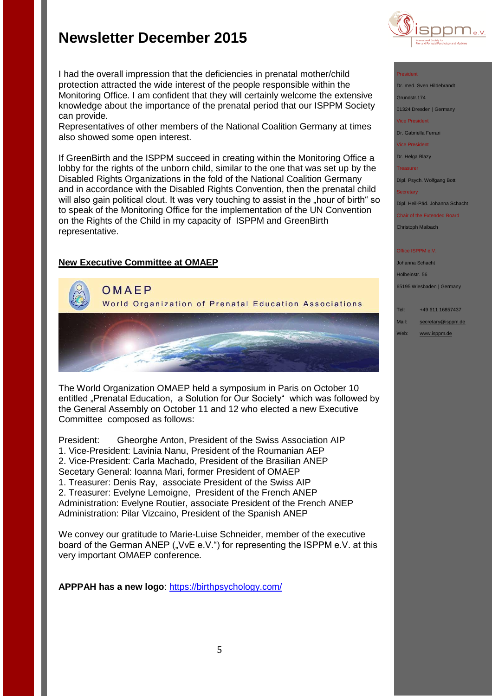

#### President

Dr. med. Sven Hildebrandt Grundstr.174

01324 Dresden | Germany

vice President

Dr. Gabriella Ferrari

Vice President

Dr. Helga Blazy

**Treasurer** 

Dipl. Psych. Wolfgang Bott

**Secretary** 

Dipl. Heil-Päd. Johanna Schacht

Chair of the Extended Board Christoph Maibach

#### ffice ISPPM e.V

Johanna Schacht Holbeinstr. 56

65195 Wiesbaden | Germany

Tel: +49 611 16857437

Mail: [secretary@isppm.de](mailto:secretary@isppm.de)

Web: [www.isppm.de](http://www.isppm.de/)

I had the overall impression that the deficiencies in prenatal mother/child protection attracted the wide interest of the people responsible within the Monitoring Office. I am confident that they will certainly welcome the extensive knowledge about the importance of the prenatal period that our ISPPM Society can provide.

Representatives of other members of the National Coalition Germany at times also showed some open interest.

If GreenBirth and the ISPPM succeed in creating within the Monitoring Office a lobby for the rights of the unborn child, similar to the one that was set up by the Disabled Rights Organizations in the fold of the National Coalition Germany and in accordance with the Disabled Rights Convention, then the prenatal child will also gain political clout. It was very touching to assist in the "hour of birth" so to speak of the Monitoring Office for the implementation of the UN Convention on the Rights of the Child in my capacity of ISPPM and GreenBirth representative.

### **New Executive Committee at OMAEP**



The World Organization OMAEP held a symposium in Paris on October 10 entitled "Prenatal Education, a Solution for Our Society" which was followed by the General Assembly on October 11 and 12 who elected a new Executive Committee composed as follows:

President: Gheorghe Anton, President of the Swiss Association AIP 1. Vice-President: Lavinia Nanu, President of the Roumanian AEP 2. Vice-President: Carla Machado, President of the Brasilian ANEP Secetary General: Ioanna Mari, former President of OMAEP 1. Treasurer: Denis Ray, associate President of the Swiss AIP 2. Treasurer: Evelyne Lemoigne, President of the French ANEP Administration: Evelyne Routier, associate President of the French ANEP Administration: Pilar Vizcaino, President of the Spanish ANEP

We convey our gratitude to Marie-Luise Schneider, member of the executive board of the German ANEP ("VvE e.V.") for representing the ISPPM e.V. at this very important OMAEP conference.

**APPPAH has a new logo**:<https://birthpsychology.com/>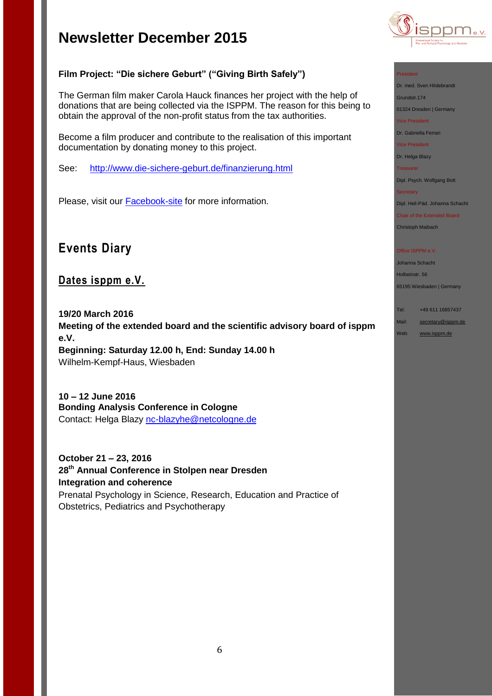

## **Film Project: "Die sichere Geburt" ("Giving Birth Safely")**

The German film maker Carola Hauck finances her project with the help of donations that are being collected via the ISPPM. The reason for this being to obtain the approval of the non-profit status from the tax authorities.

Become a film producer and contribute to the realisation of this important documentation by donating money to this project.

See: <http://www.die-sichere-geburt.de/finanzierung.html>

Please, visit our **[Facebook-site](https://www.facebook.com/pages/ISPPM-eV/124066644364106)** for more information.

# **Events Diary**

## **Dates isppm e.V.**

**19/20 March 2016 Meeting of the extended board and the scientific advisory board of isppm e.V. Beginning: Saturday 12.00 h, End: Sunday 14.00 h** Wilhelm-Kempf-Haus, Wiesbaden

**10 – 12 June 2016 Bonding Analysis Conference in Cologne** Contact: Helga Blazy [nc-blazyhe@netcologne.de](mailto:nc-blazyhe@netcologne.de)

**October 21 – 23, 2016 28th Annual Conference in Stolpen near Dresden Integration and coherence** Prenatal Psychology in Science, Research, Education and Practice of Obstetrics, Pediatrics and Psychotherapy

#### President

Dr. med. Sven Hildebrandt

Grundstr.174

01324 Dresden | Germany

Vice President

Dr. Gabriella Ferrari

Vice President

Dr. Helga Blazy

Treasurer

Dipl. Psych. Wolfgang Bott

#### **Secretary**

Dipl. Heil-Päd. Johanna Schacht

Chair of the Extended Board Christoph Maibach

#### Office ISPPM e.V

Johanna Schacht Holbeinstr. 56

65195 Wiesbaden | Germany

Tel: +49 611 16857437

- Mail: [secretary@isppm.de](mailto:secretary@isppm.de)
- Web: [www.isppm.de](http://www.isppm.de/)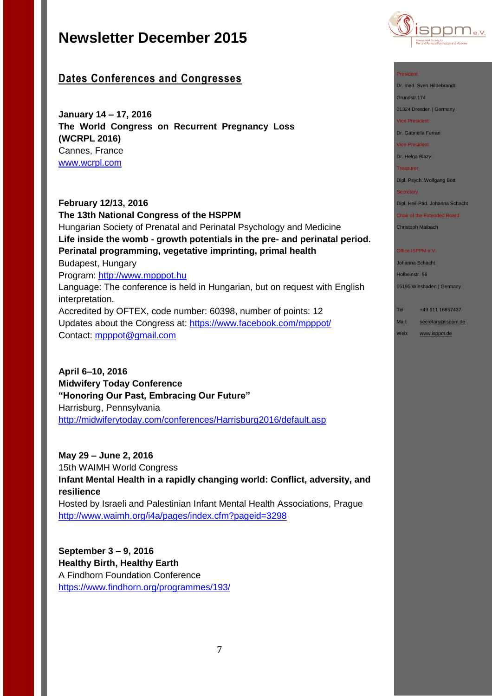

## **Dates Conferences and Congresses**

**January 14 – 17, 2016 The World Congress on Recurrent Pregnancy Loss (WCRPL 2016)** Cannes, France [www.wcrpl.com](http://www.wcrpl.com/)

**February 12/13, 2016 The 13th National Congress of the HSPPM**  Hungarian Society of Prenatal and Perinatal Psychology and Medicine **Life inside the womb - growth potentials in the pre- and perinatal period. Perinatal programming, vegetative imprinting, primal health**  Budapest, Hungary Program: [http://www.mpppot.hu](http://www.mpppot.hu/homepage/index.php/eng-2016-congress) Language: The conference is held in Hungarian, but on request with English interpretation. Accredited by OFTEX, code number: 60398, number of points: 12 Updates about the Congress at: [https://www.facebook.com/mpppot/](https://www.facebook.com/mpppot/info/?tab=page_info) Contact: [mpppot@gmail.com](mailto:mpppot@gmail.com)

**April 6–10, 2016 Midwifery Today Conference "Honoring Our Past, Embracing Our Future"** Harrisburg, Pennsylvania <http://midwiferytoday.com/conferences/Harrisburg2016/default.asp>

**May 29 – June 2, 2016** 15th WAIMH World Congress **Infant Mental Health in a rapidly changing world: Conflict, adversity, and resilience** Hosted by Israeli and Palestinian Infant Mental Health Associations, Prague <http://www.waimh.org/i4a/pages/index.cfm?pageid=3298>

**September 3 – 9, 2016 Healthy Birth, Healthy Earth** A Findhorn Foundation Conference <https://www.findhorn.org/programmes/193/>

#### President

Dr. med. Sven Hildebrandt

Grundstr.174 01324 Dresden | Germany

Vice President

Dr. Gabriella Ferrari

Vice President

Dr. Helga Blazy

Treasurer

Dipl. Psych. Wolfgang Bott

#### **Secretary**

Dipl. Heil-Päd. Johanna Schacht

Chair of the Extended Board

Christoph Maibach

#### Office ISPPM e.V

Johanna Schacht Holbeinstr. 56 65195 Wiesbaden | Germany

Tel: +49 611 16857437 Mail: [secretary@isppm.de](mailto:secretary@isppm.de)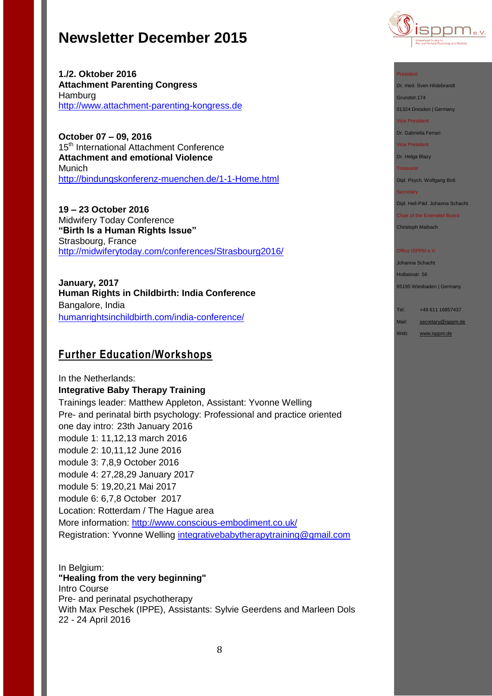**1./2. Oktober 2016 Attachment Parenting Congress** Hamburg [http://www.attachment-parenting-kongress.de](http://www.attachment-parenting-kongress.de/)

**October 07 – 09, 2016**  15<sup>th</sup> International Attachment Conference **Attachment and emotional Violence** Munich <http://bindungskonferenz-muenchen.de/1-1-Home.html>

**19 – 23 October 2016** Midwifery Today Conference **"Birth Is a Human Rights Issue"** Strasbourg, France <http://midwiferytoday.com/conferences/Strasbourg2016/>

**January, 2017 Human Rights in Childbirth: India Conference** Bangalore, India [humanrightsinchildbirth.com/india-conference/](http://humanrightsinchildbirth.com/india-conference/)

## **Further Education/Workshops**

In the Netherlands: **Integrative Baby Therapy Training** Trainings leader: Matthew Appleton, Assistant: Yvonne Welling Pre- and perinatal birth psychology: Professional and practice oriented one day intro: 23th January 2016 module 1: 11,12,13 march 2016 module 2: 10,11,12 June 2016 module 3: 7,8,9 October 2016 module 4: 27,28,29 January 2017 module 5: 19,20,21 Mai 2017 module 6: 6,7,8 October 2017 Location: Rotterdam / The Hague area More information:<http://www.conscious-embodiment.co.uk/> Registration: Yvonne Welling [integrativebabytherapytraining@gmail.com](mailto:integrativebabytherapytraining@gmail.com)

In Belgium: **"Healing from the very beginning"** Intro Course Pre- and perinatal psychotherapy With Max Peschek (IPPE), Assistants: Sylvie Geerdens and Marleen Dols 22 - 24 April 2016



#### President

Dr. med. Sven Hildebrandt

Grundstr.174 01324 Dresden | Germany

Vice President

Dr. Gabriella Ferrari

Vice President

Dr. Helga Blazy

Treasurer

Dipl. Psych. Wolfgang Bott

#### **Secretary**

Dipl. Heil-Päd. Johanna Schacht

Chair of the Extended Board Christoph Maibach

#### Office ISPPM e.V

Johanna Schacht Holbeinstr. 56 65195 Wiesbaden | Germany

Tel: +49 611 16857437

Mail: [secretary@isppm.de](mailto:secretary@isppm.de)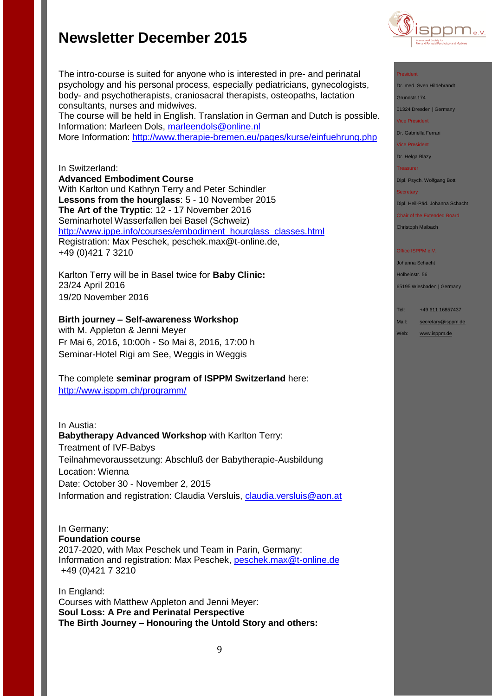

#### President

Dr. med. Sven Hildebrandt

Grundstr.174

01324 Dresden | Germany

Vice President

Dr. Gabriella Ferrari

Vice President

Dr. Helga Blazy

Treasurer

Dipl. Psych. Wolfgang Bott

**Secretary** 

Dipl. Heil-Päd. Johanna Schacht

Chair of the Extended Board Christoph Maibach

Office ISPPM e.V

Johanna Schacht Holbeinstr. 56

65195 Wiesbaden | Germany

Tel: +49 611 16857437

Mail: [secretary@isppm.de](mailto:secretary@isppm.de)

Web: [www.isppm.de](http://www.isppm.de/)

The intro-course is suited for anyone who is interested in pre- and perinatal psychology and his personal process, especially pediatricians, gynecologists, body- and psychotherapists, craniosacral therapists, osteopaths, lactation consultants, nurses and midwives.

The course will be held in English. Translation in German and Dutch is possible. Information: Marleen Dols, [marleendols@online.nl](mailto:marleendols@online.nl)

More Information:<http://www.therapie-bremen.eu/pages/kurse/einfuehrung.php>

### In Switzerland:

**Advanced Embodiment Course**

With Karlton und Kathryn Terry and Peter Schindler **Lessons from the hourglass**: 5 - 10 November 2015 **The Art of the Tryptic**: 12 - 17 November 2016 Seminarhotel Wasserfallen bei Basel (Schweiz) [http://www.ippe.info/courses/embodiment\\_hourglass\\_classes.html](http://www.ippe.info/courses/embodiment_hourglass_classes.html)  Registration: Max Peschek, [peschek.max@t-online.de,](mailto:peschek.max@t-online.de) +49 (0)421 7 3210

Karlton Terry will be in Basel twice for **Baby Clinic:** 23/24 April 2016 19/20 November 2016

## **Birth journey – Self-awareness Workshop**

with M. Appleton & Jenni Meyer Fr Mai 6, 2016, 10:00h - So Mai 8, 2016, 17:00 h Seminar-Hotel Rigi am See, Weggis in Weggis

The complete **seminar program of ISPPM Switzerland** here:

<http://www.isppm.ch/programm/>

### In Austia:

**Babytherapy Advanced Workshop** with Karlton Terry: Treatment of IVF-Babys Teilnahmevoraussetzung: Abschluß der Babytherapie-Ausbildung Location: Wienna Date: October 30 - November 2, 2015 Information and registration: Claudia Versluis, [claudia.versluis@aon.at](mailto:claudia.versluis@aon.at)

## In Germany:

**Foundation course** 

2017-2020, with Max Peschek und Team in Parin, Germany: Information and registration: Max Peschek, [peschek.max@t-online.de](mailto:peschek.max@t-online.de) +49 (0)421 7 3210

In England: Courses with Matthew Appleton and Jenni Meyer: **Soul Loss: A Pre and Perinatal Perspective**

**The Birth Journey – Honouring the Untold Story and others:**